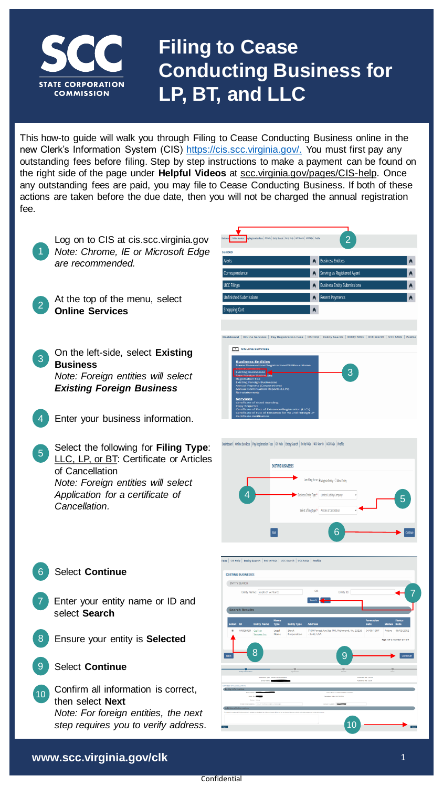

## **Filing to Cease Conducting Business for LP, BT, and LLC**

This how-to guide will walk you through Filing to Cease Conducting Business online in the new Clerk's Information System (CIS) [https://cis.scc.virginia.gov/.](https://cis.scc.virginia.gov/) You must first pay any outstanding fees before filing. Step by step instructions to make a payment can be found on the right side of the page under **Helpful Videos** at scc.virginia.gov/pages/CIS-help. Once any outstanding fees are paid, you may file to Cease Conducting Business. If both of these actions are taken before the due date, then you will not be charged the annual registration fee.